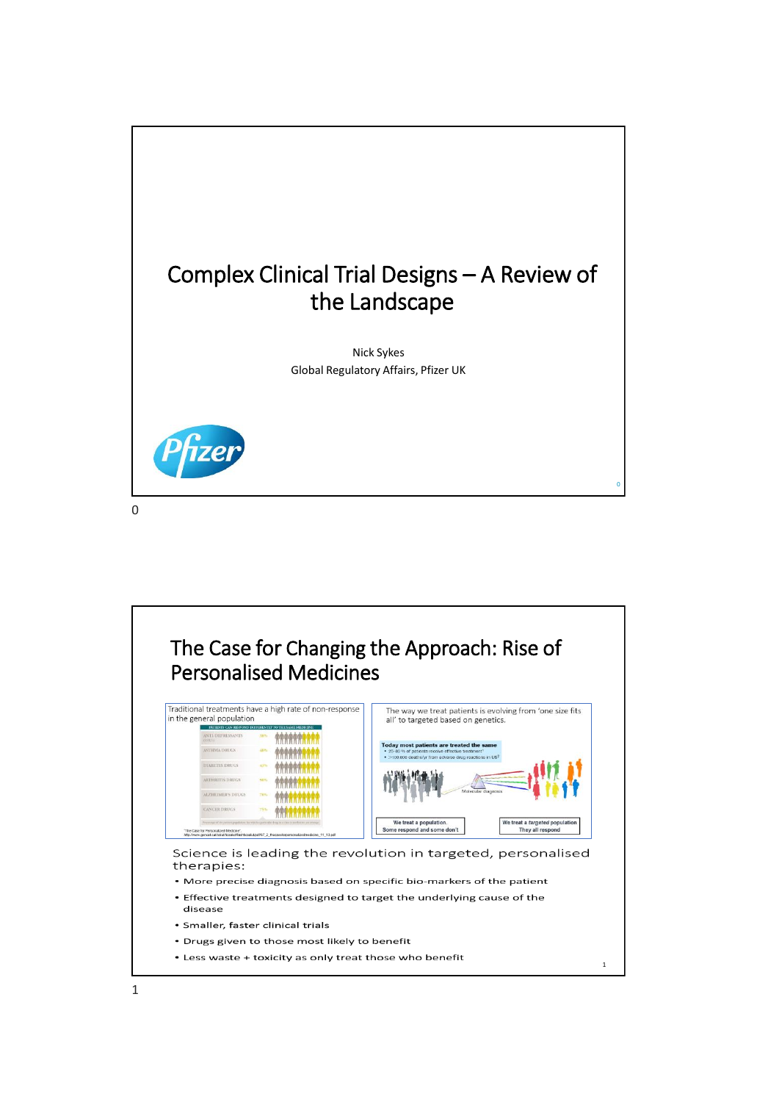

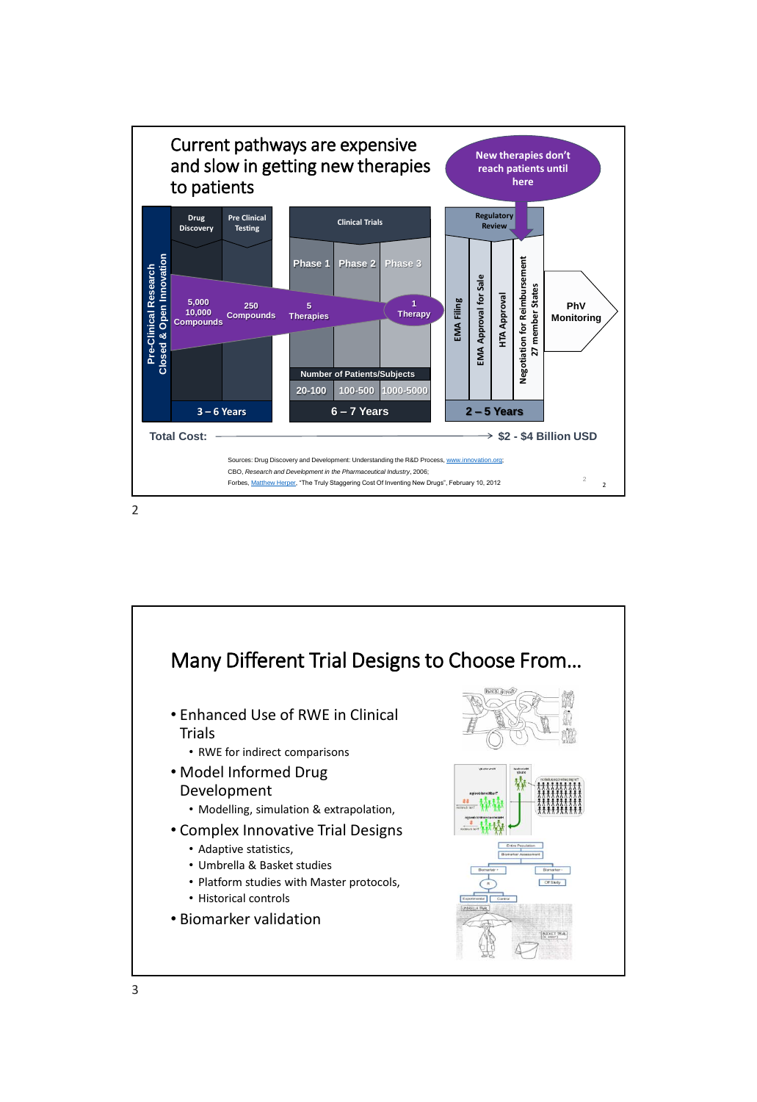

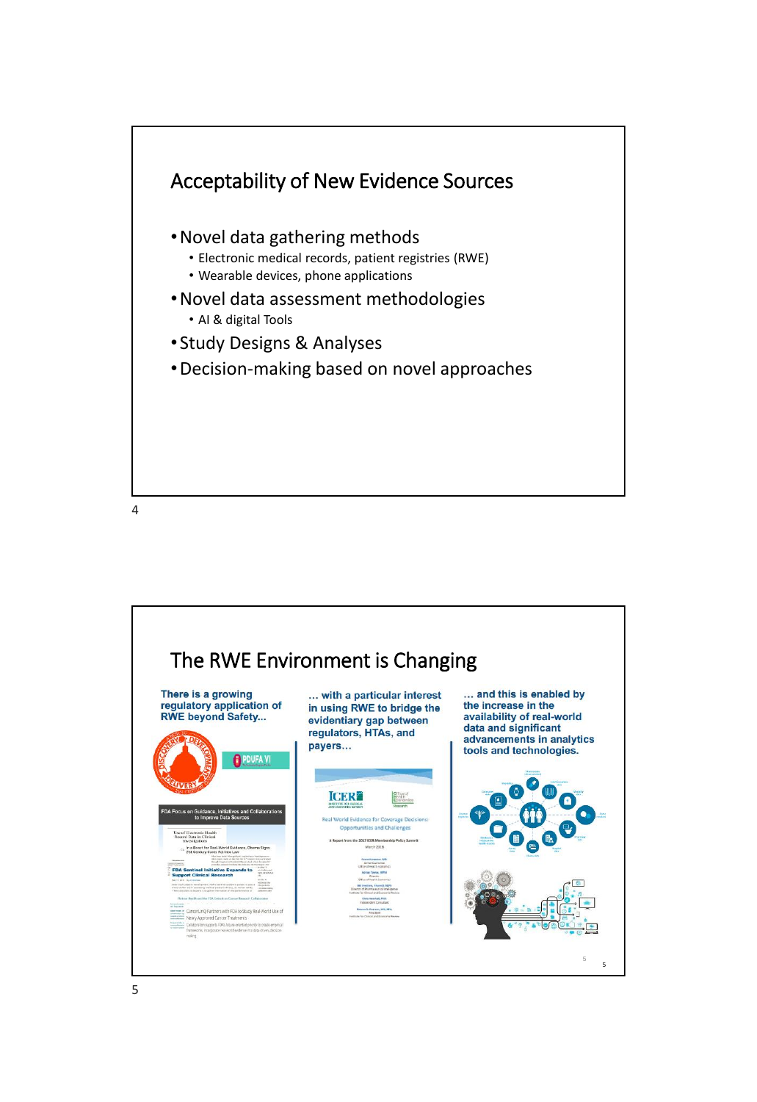

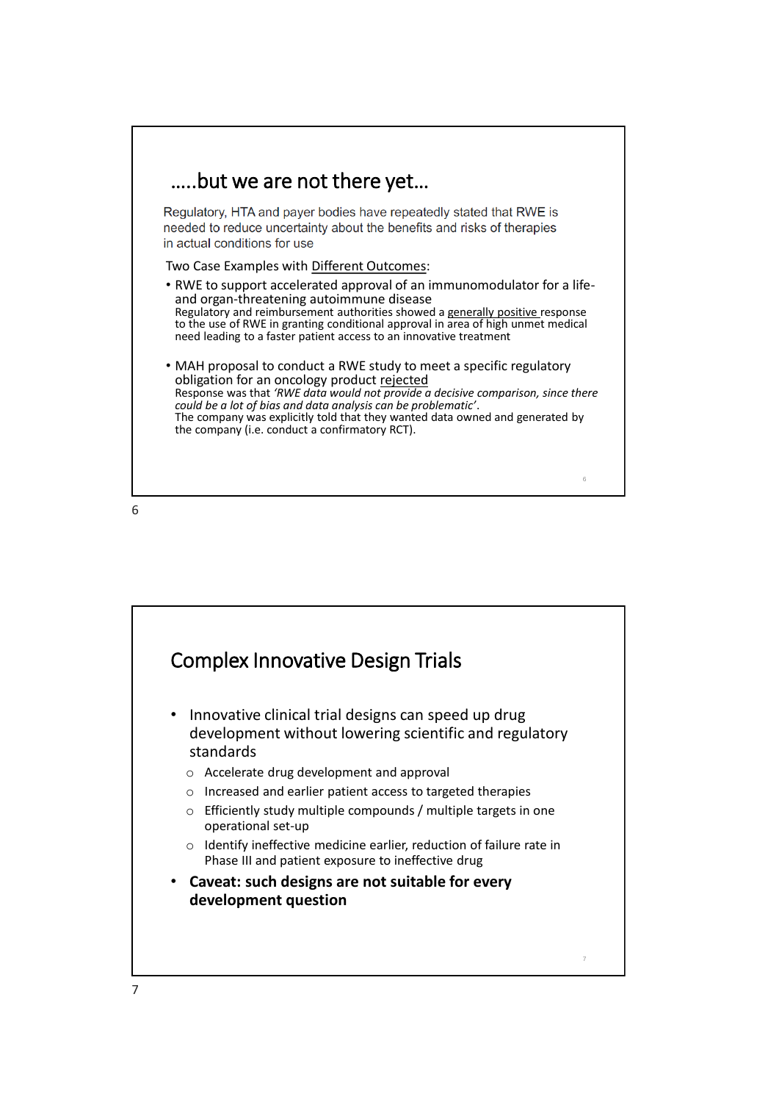



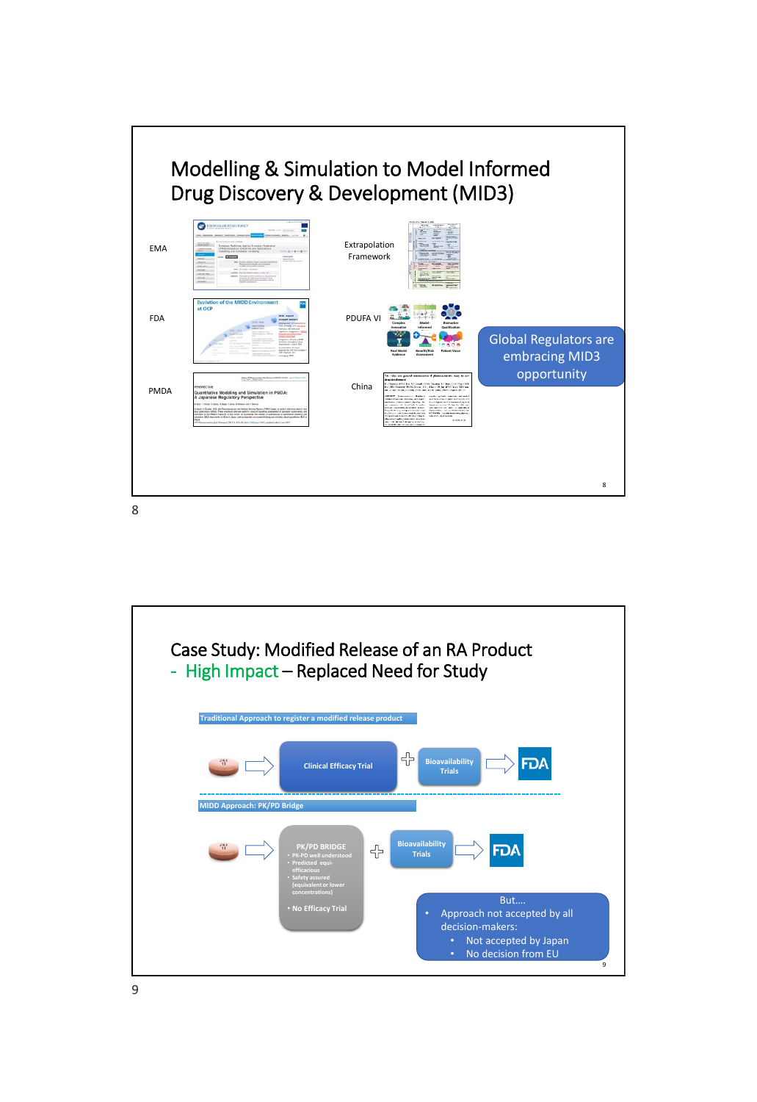



9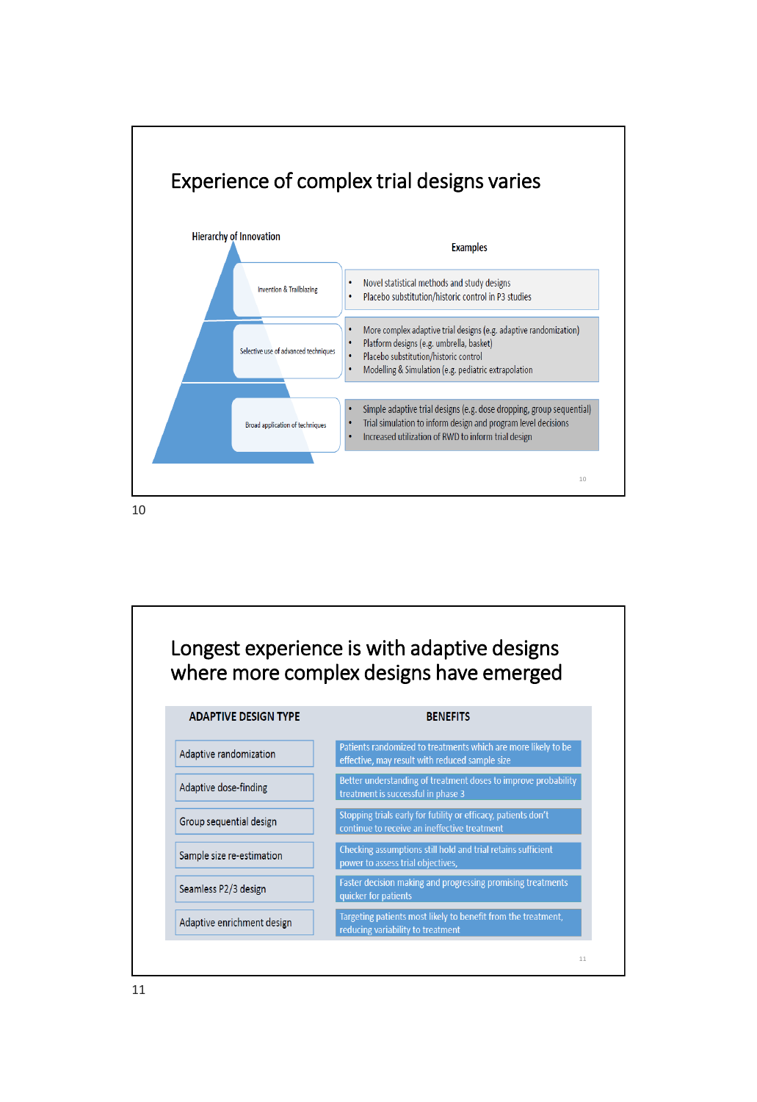

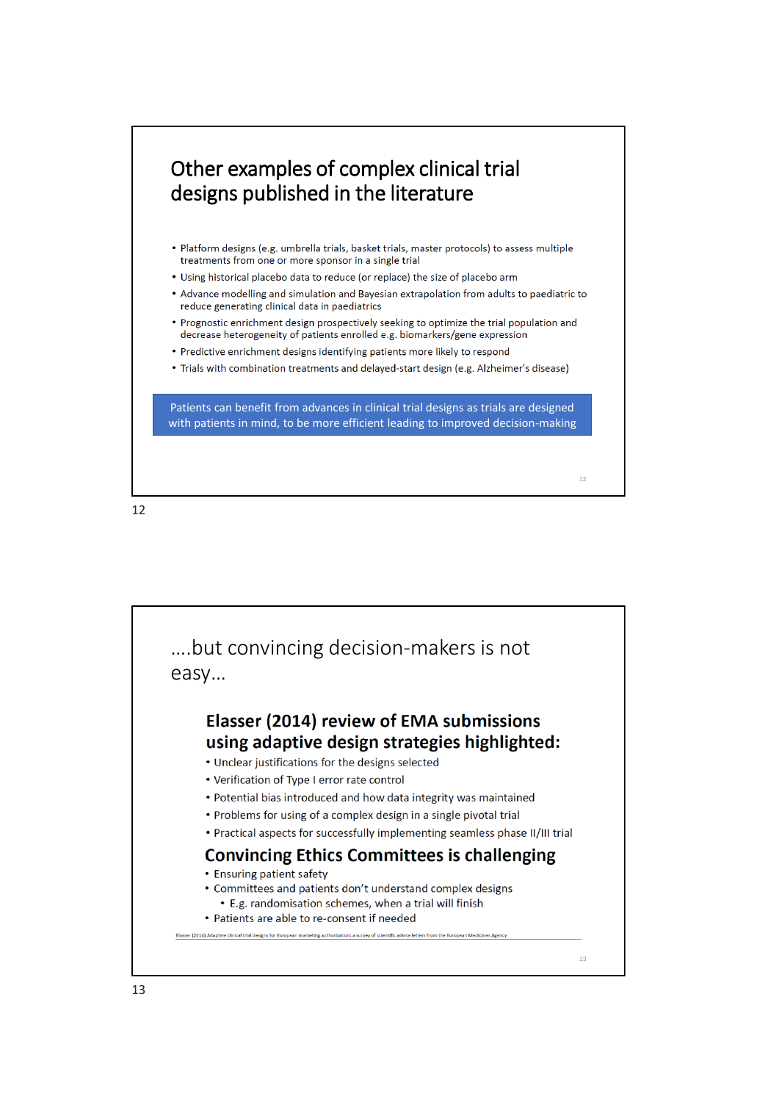